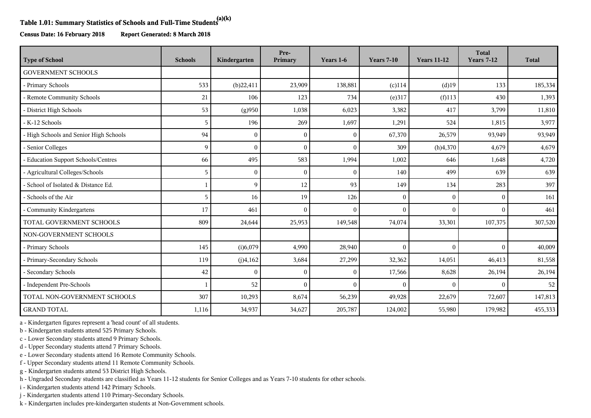## **Table 1.01: Summary Statistics of Schools and Full-Time Students(a)(k)**

**Census Date: 16 February 2018 Report Generated: 8 March 2018**

| <b>Type of School</b>                  | <b>Schools</b> | Kindergarten | Pre-<br>Primary | Years 1-6 | <b>Years 7-10</b> | <b>Years 11-12</b> | <b>Total</b><br><b>Years 7-12</b> | <b>Total</b> |
|----------------------------------------|----------------|--------------|-----------------|-----------|-------------------|--------------------|-----------------------------------|--------------|
| <b>GOVERNMENT SCHOOLS</b>              |                |              |                 |           |                   |                    |                                   |              |
| - Primary Schools                      | 533            | (b)22,411    | 23,909          | 138,881   | $(c)$ 114         | $(d)$ 19           | 133                               | 185,334      |
| - Remote Community Schools             | 21             | 106          | 123             | 734       | (e)317            | $(f)$ 113          | 430                               | 1,393        |
| - District High Schools                | 53             | (g)950       | 1,038           | 6,023     | 3,382             | 417                | 3,799                             | 11,810       |
| - K-12 Schools                         | 5              | 196          | 269             | 1,697     | 1,291             | 524                | 1,815                             | 3,977        |
| - High Schools and Senior High Schools | 94             | $\Omega$     | $\Omega$        | $\theta$  | 67,370            | 26,579             | 93,949                            | 93,949       |
| - Senior Colleges                      | 9              | $\Omega$     | $\theta$        | $\Omega$  | 309               | (h)4,370           | 4,679                             | 4,679        |
| - Education Support Schools/Centres    | 66             | 495          | 583             | 1,994     | 1,002             | 646                | 1,648                             | 4,720        |
| - Agricultural Colleges/Schools        | 5              | $\Omega$     | $\Omega$        | $\Omega$  | 140               | 499                | 639                               | 639          |
| - School of Isolated & Distance Ed.    | $\mathbf{1}$   | $\mathbf Q$  | 12              | 93        | 149               | 134                | 283                               | 397          |
| - Schools of the Air                   | 5              | 16           | 19              | 126       | $\mathbf{0}$      | $\mathbf{0}$       | $\Omega$                          | 161          |
| - Community Kindergartens              | 17             | 461          | $\Omega$        | $\Omega$  | $\mathbf{0}$      | $\mathbf{0}$       | $\Omega$                          | 461          |
| TOTAL GOVERNMENT SCHOOLS               | 809            | 24,644       | 25,953          | 149,548   | 74,074            | 33,301             | 107,375                           | 307,520      |
| NON-GOVERNMENT SCHOOLS                 |                |              |                 |           |                   |                    |                                   |              |
| - Primary Schools                      | 145            | (i)6,079     | 4,990           | 28,940    | $\mathbf{0}$      | $\mathbf{0}$       | $\Omega$                          | 40,009       |
| - Primary-Secondary Schools            | 119            | (j)4,162     | 3,684           | 27,299    | 32,362            | 14,051             | 46,413                            | 81,558       |
| - Secondary Schools                    | 42             |              | $\Omega$        | $\Omega$  | 17,566            | 8,628              | 26,194                            | 26,194       |
| - Independent Pre-Schools              |                | 52           | $\theta$        | $\theta$  | $\Omega$          | $\theta$           | $\Omega$                          | 52           |
| TOTAL NON-GOVERNMENT SCHOOLS           | 307            | 10,293       | 8,674           | 56,239    | 49,928            | 22,679             | 72,607                            | 147,813      |
| <b>GRAND TOTAL</b>                     | 1,116          | 34,937       | 34,627          | 205,787   | 124,002           | 55,980             | 179,982                           | 455,333      |

a - Kindergarten figures represent a 'head count' of all students.

b - Kindergarten students attend 525 Primary Schools.

c - Lower Secondary students attend 9 Primary Schools.

d - Upper Secondary students attend 7 Primary Schools.

e - Lower Secondary students attend 16 Remote Community Schools.

f - Upper Secondary students attend 11 Remote Community Schools.

g - Kindergarten students attend 53 District High Schools.

h - Ungraded Secondary students are classified as Years 11-12 students for Senior Colleges and as Years 7-10 students for other schools.

i - Kindergarten students attend 142 Primary Schools.

j - Kindergarten students attend 110 Primary-Secondary Schools.

k - Kindergarten includes pre-kindergarten students at Non-Government schools.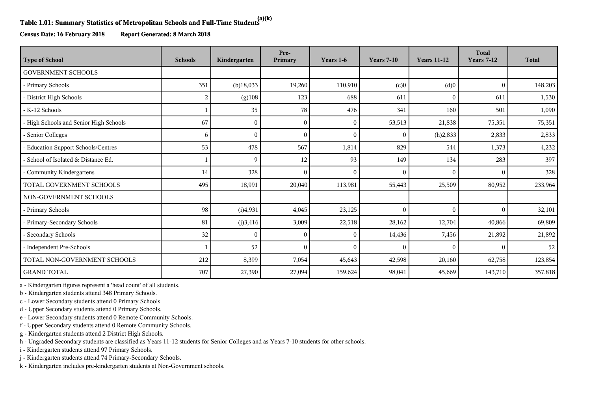## **Table 1.01: Summary Statistics of Metropolitan Schools and Full-Time Students(a)(k)**

**Census Date: 16 February 2018 Report Generated: 8 March 2018**

| <b>Type of School</b>                  | <b>Schools</b> | Kindergarten | Pre-<br>Primary | Years 1-6    | <b>Years 7-10</b> | <b>Years 11-12</b> | <b>Total</b><br><b>Years 7-12</b> | <b>Total</b> |
|----------------------------------------|----------------|--------------|-----------------|--------------|-------------------|--------------------|-----------------------------------|--------------|
| <b>GOVERNMENT SCHOOLS</b>              |                |              |                 |              |                   |                    |                                   |              |
| - Primary Schools                      | 351            | $(b)$ 18,033 | 19,260          | 110,910      | (c)0              | (d)0               | $\mathbf{0}$                      | 148,203      |
| - District High Schools                | 2              | (g)108       | 123             | 688          | 611               | $\theta$           | 611                               | 1,530        |
| - K-12 Schools                         |                | 35           | 78              | 476          | 341               | 160                | 501                               | 1,090        |
| - High Schools and Senior High Schools | 67             | $\mathbf{0}$ | $\Omega$        | $\mathbf{0}$ | 53,513            | 21,838             | 75,351                            | 75,351       |
| - Senior Colleges                      | 6              | $\theta$     | $\theta$        | $\theta$     | $\Omega$          | (h)2,833           | 2,833                             | 2,833        |
| - Education Support Schools/Centres    | 53             | 478          | 567             | 1,814        | 829               | 544                | 1,373                             | 4,232        |
| - School of Isolated & Distance Ed.    |                | 9            | 12              | 93           | 149               | 134                | 283                               | 397          |
| Community Kindergartens                | 14             | 328          | $\Omega$        | $\mathbf{0}$ | $\Omega$          | $\mathbf{0}$       | $\theta$                          | 328          |
| TOTAL GOVERNMENT SCHOOLS               | 495            | 18,991       | 20,040          | 113,981      | 55,443            | 25,509             | 80,952                            | 233,964      |
| NON-GOVERNMENT SCHOOLS                 |                |              |                 |              |                   |                    |                                   |              |
| - Primary Schools                      | 98             | (i)4,931     | 4,045           | 23,125       | $\Omega$          | $\mathbf{0}$       | $\Omega$                          | 32,101       |
| - Primary-Secondary Schools            | 81             | (j)3,416     | 3,009           | 22,518       | 28,162            | 12,704             | 40,866                            | 69,809       |
| - Secondary Schools                    | 32             | $\Omega$     | $\Omega$        | $\theta$     | 14,436            | 7,456              | 21,892                            | 21,892       |
| - Independent Pre-Schools              |                | 52           | $\theta$        | $\theta$     | $\Omega$          | $\Omega$           | $\Omega$                          | 52           |
| TOTAL NON-GOVERNMENT SCHOOLS           | 212            | 8,399        | 7,054           | 45,643       | 42,598            | 20,160             | 62,758                            | 123,854      |
| <b>GRAND TOTAL</b>                     | 707            | 27,390       | 27,094          | 159,624      | 98,041            | 45,669             | 143,710                           | 357,818      |

a - Kindergarten figures represent a 'head count' of all students.

b - Kindergarten students attend 348 Primary Schools.

c - Lower Secondary students attend 0 Primary Schools.

d - Upper Secondary students attend 0 Primary Schools.

e - Lower Secondary students attend 0 Remote Community Schools.

f - Upper Secondary students attend 0 Remote Community Schools.

g - Kindergarten students attend 2 District High Schools.

h - Ungraded Secondary students are classified as Years 11-12 students for Senior Colleges and as Years 7-10 students for other schools.

i - Kindergarten students attend 97 Primary Schools.

j - Kindergarten students attend 74 Primary-Secondary Schools.

k - Kindergarten includes pre-kindergarten students at Non-Government schools.